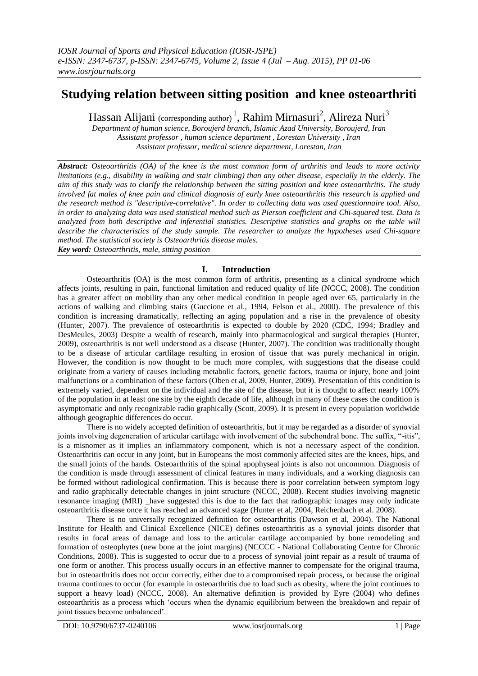# **Studying relation between sitting position and knee osteoarthriti**

Hassan Alijani (corresponding author)<sup>1</sup>, Rahim Mirnasuri<sup>2</sup>, Alireza Nuri<sup>3</sup>

*Department of human science, Boroujerd branch, Islamic Azad University, Boroujerd, Iran Assistant professor , human science department , Lorestan University , Iran Assistant professor, medical science department, Lorestan, Iran*

*Abstract: Osteoarthritis (OA) of the knee is the most common form of arthritis and leads to more activity limitations (e.g., disability in walking and stair climbing) than any other disease, especially in the elderly. The aim of this study was to clarify the relationship between the sitting position and knee osteoarthritis. The study involved fat males of knee pain and clinical diagnosis of early knee osteoarthritis this research is applied and the research method is "descriptive-correlative". In order to collecting data was used questionnaire tool. Also, in order to analyzing data was used statistical method such as Pierson coefficient and Chi-squared* test*. Data is analyzed from both descriptive and inferential statistics. Descriptive statistics and graphs on the table will describe the characteristics of the study sample. The researcher to analyze the hypotheses used Chi-square method. The statistical society is Osteoarthritis disease males.* 

*Key word: Osteoarthritis, male, sitting position* 

### **I. Introduction**

Osteoarthritis (OA) is the most common form of arthritis, presenting as a clinical syndrome which affects joints, resulting in pain, functional limitation and reduced quality of life (NCCC, 2008). The condition has a greater affect on mobility than any other medical condition in people aged over 65, particularly in the actions of walking and climbing stairs (Guccione et al., 1994, Felson et al., 2000). The prevalence of this condition is increasing dramatically, reflecting an aging population and a rise in the prevalence of obesity (Hunter, 2007). The prevalence of osteoarthritis is expected to double by 2020 (CDC, 1994; Bradley and DesMeules, 2003) Despite a wealth of research, mainly into pharmacological and surgical therapies (Hunter, 2009), osteoarthritis is not well understood as a disease (Hunter, 2007). The condition was traditionally thought to be a disease of articular cartlilage resulting in erosion of tissue that was purely mechanical in origin. However, the condition is now thought to be much more complex, with suggestions that the disease could originate from a variety of causes including metabolic factors, genetic factors, trauma or injury, bone and joint malfunctions or a combination of these factors (Oben et al, 2009, Hunter, 2009). Presentation of this condition is extremely varied, dependent on the individual and the site of the disease, but it is thought to affect nearly 100% of the population in at least one site by the eighth decade of life, although in many of these cases the condition is asymptomatic and only recognizable radio graphically (Scott, 2009). It is present in every population worldwide although geographic differences do occur.

There is no widely accepted definition of osteoarthritis, but it may be regarded as a disorder of synovial joints involving degeneration of articular cartilage with involvement of the subchondral bone. The suffix, "-itis", is a misnomer as it implies an inflammatory component, which is not a necessary aspect of the condition. Osteoarthritis can occur in any joint, but in Europeans the most commonly affected sites are the knees, hips, and the small joints of the hands. Osteoarthritis of the spinal apophyseal joints is also not uncommon. Diagnosis of the condition is made through assessment of clinical features in many individuals, and a working diagnosis can be formed without radiological confirmation. This is because there is poor correlation between symptom logy and radio graphically detectable changes in joint structure (NCCC, 2008). Recent studies involving magnetic resonance imaging (MRI) have suggested this is due to the fact that radiographic images may only indicate osteoarthritis disease once it has reached an advanced stage (Hunter et al, 2004, Reichenbach et al. 2008).

There is no universally recognized definition for osteoarthritis (Dawson et al, 2004). The National Institute for Health and Clinical Excellence (NICE) defines osteoarthritis as a synovial joints disorder that results in focal areas of damage and loss to the articular cartilage accompanied by bone remodeling and formation of osteophytes (new bone at the joint margins) (NCCCC - National Collaborating Centre for Chronic Conditions, 2008). This is suggested to occur due to a process of synovial joint repair as a result of trauma of one form or another. This process usually occurs in an effective manner to compensate for the original trauma, but in osteoarthritis does not occur correctly, either due to a compromised repair process, or because the original trauma continues to occur (for example in osteoarthritis due to load such as obesity, where the joint continues to support a heavy load) (NCCC, 2008). An alternative definition is provided by Eyre (2004) who defines osteoarthritis as a process which "occurs when the dynamic equilibrium between the breakdown and repair of joint tissues become unbalanced'.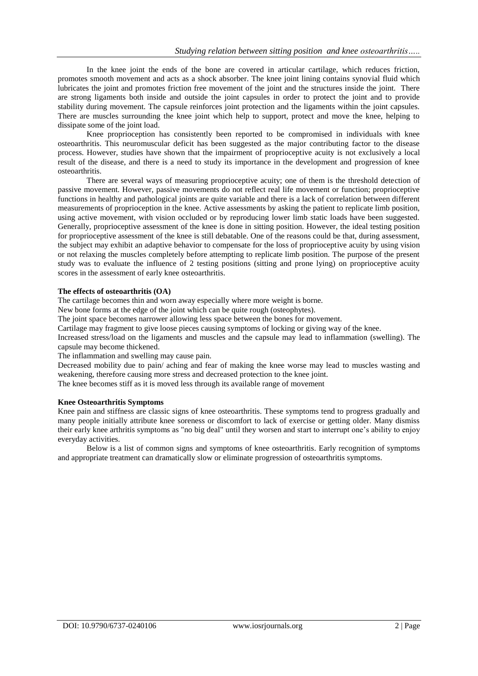In the knee joint the ends of the bone are covered in articular cartilage, which reduces friction, promotes smooth movement and acts as a shock absorber. The knee joint lining contains synovial fluid which lubricates the joint and promotes friction free movement of the joint and the structures inside the joint. There are strong ligaments both inside and outside the joint capsules in order to protect the joint and to provide stability during movement. The capsule reinforces joint protection and the ligaments within the joint capsules. There are muscles surrounding the knee joint which help to support, protect and move the knee, helping to dissipate some of the joint load.

Knee proprioception has consistently been reported to be compromised in individuals with knee osteoarthritis. This neuromuscular deficit has been suggested as the major contributing factor to the disease process. However, studies have shown that the impairment of proprioceptive acuity is not exclusively a local result of the disease, and there is a need to study its importance in the development and progression of knee osteoarthritis.

There are several ways of measuring proprioceptive acuity; one of them is the threshold detection of passive movement. However, passive movements do not reflect real life movement or function; proprioceptive functions in healthy and pathological joints are quite variable and there is a lack of correlation between different measurements of proprioception in the knee. Active assessments by asking the patient to replicate limb position, using active movement, with vision occluded or by reproducing lower limb static loads have been suggested. Generally, proprioceptive assessment of the knee is done in sitting position. However, the ideal testing position for proprioceptive assessment of the knee is still debatable. One of the reasons could be that, during assessment, the subject may exhibit an adaptive behavior to compensate for the loss of proprioceptive acuity by using vision or not relaxing the muscles completely before attempting to replicate limb position. The purpose of the present study was to evaluate the influence of 2 testing positions (sitting and prone lying) on proprioceptive acuity scores in the assessment of early knee osteoarthritis.

### **The effects of osteoarthritis (OA)**

The cartilage becomes thin and worn away especially where more weight is borne.

New bone forms at the edge of the joint which can be quite rough (osteophytes).

The joint space becomes narrower allowing less space between the bones for movement.

Cartilage may fragment to give loose pieces causing symptoms of locking or giving way of the knee.

Increased stress/load on the ligaments and muscles and the capsule may lead to inflammation (swelling). The capsule may become thickened.

The inflammation and swelling may cause pain.

Decreased mobility due to pain/ aching and fear of making the knee worse may lead to muscles wasting and weakening, therefore causing more stress and decreased protection to the knee joint.

The knee becomes stiff as it is moved less through its available range of movement

### **Knee Osteoarthritis Symptoms**

Knee pain and stiffness are classic signs of knee osteoarthritis. These symptoms tend to progress gradually and many people initially attribute knee soreness or discomfort to lack of exercise or getting older. Many dismiss their early knee arthritis symptoms as "no big deal" until they worsen and start to interrupt one"s ability to enjoy everyday activities.

Below is a list of common signs and symptoms of knee osteoarthritis. Early recognition of symptoms and appropriate treatment can dramatically slow or eliminate progression of osteoarthritis symptoms.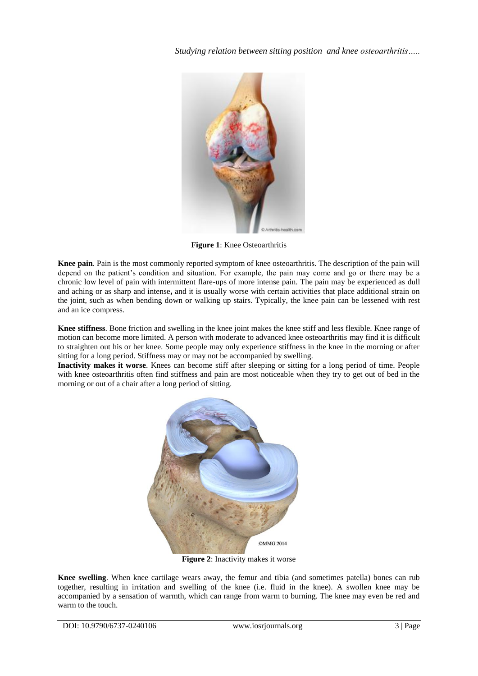

**Figure 1**: Knee Osteoarthritis

**Knee pain**. Pain is the most commonly reported symptom of knee osteoarthritis. The description of the pain will depend on the patient"s condition and situation. For example, the pain may come and go or there may be a chronic low level of pain with intermittent flare-ups of more intense pain. The pain may be experienced as dull and aching or as sharp and intense**,** and it is usually worse with certain activities that place additional strain on the joint, such as when bending down or walking up stairs. Typically, the knee pain can be lessened with rest and an ice compress.

**Knee stiffness**. Bone friction and swelling in the knee joint makes the knee stiff and less flexible. Knee range of motion can become more limited. A person with moderate to advanced knee osteoarthritis may find it is difficult to straighten out his or her knee. Some people may only experience stiffness in the knee in the morning or after sitting for a long period. Stiffness may or may not be accompanied by swelling.

**Inactivity makes it worse**. Knees can become stiff after sleeping or sitting for a long period of time. People with knee osteoarthritis often find stiffness and pain are most noticeable when they try to get out of bed in the morning or out of a chair after a long period of sitting.



**Figure 2**: Inactivity makes it worse

**Knee swelling**. When knee cartilage wears away, the femur and tibia (and sometimes patella) bones can rub together, resulting in irritation and swelling of the knee (i.e. fluid in the knee). A swollen knee may be accompanied by a sensation of warmth, which can range from warm to burning. The knee may even be red and warm to the touch.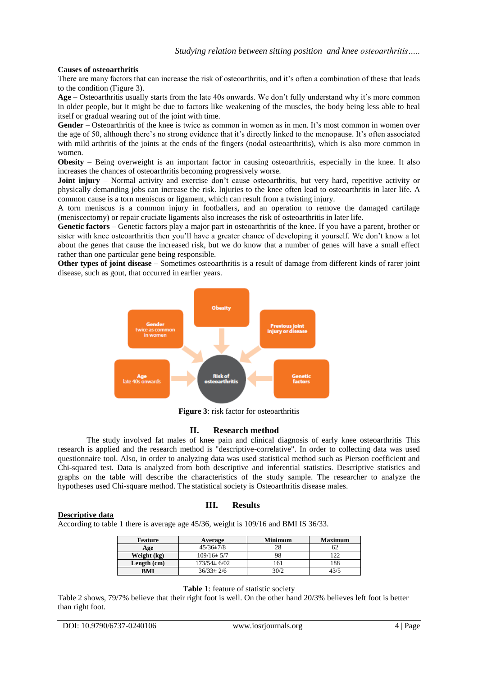### **Causes of osteoarthritis**

There are many factors that can increase the risk of osteoarthritis, and it's often a combination of these that leads to the condition (Figure 3).

Age – Osteoarthritis usually starts from the late 40s onwards. We don't fully understand why it's more common in older people, but it might be due to factors like weakening of the muscles, the body being less able to heal itself or gradual wearing out of the joint with time.

Gender – Osteoarthritis of the knee is twice as common in women as in men. It's most common in women over the age of 50, although there's no strong evidence that it's directly linked to the menopause. It's often associated with mild arthritis of the joints at the ends of the fingers (nodal osteoarthritis), which is also more common in women.

**Obesity** – Being overweight is an important factor in causing osteoarthritis, especially in the knee. It also increases the chances of osteoarthritis becoming progressively worse.

**Joint injury** – Normal activity and exercise don't cause osteoarthritis, but very hard, repetitive activity or physically demanding jobs can increase the risk. Injuries to the knee often lead to osteoarthritis in later life. A common cause is a torn meniscus or ligament, which can result from a twisting injury.

A torn meniscus is a common injury in footballers, and an operation to remove the damaged cartilage (meniscectomy) or repair cruciate ligaments also increases the risk of osteoarthritis in later life.

**Genetic factors** – Genetic factors play a major part in osteoarthritis of the knee. If you have a parent, brother or sister with knee osteoarthritis then you'll have a greater chance of developing it yourself. We don't know a lot about the genes that cause the increased risk, but we do know that a number of genes will have a small effect rather than one particular gene being responsible.

**Other types of joint disease** – Sometimes osteoarthritis is a result of damage from different kinds of rarer joint disease, such as gout, that occurred in earlier years.



**Figure 3**: risk factor for osteoarthritis

### **II. Research method**

The study involved fat males of knee pain and clinical diagnosis of early knee osteoarthritis This research is applied and the research method is "descriptive-correlative". In order to collecting data was used questionnaire tool. Also, in order to analyzing data was used statistical method such as Pierson coefficient and Chi-squared test. Data is analyzed from both descriptive and inferential statistics. Descriptive statistics and graphs on the table will describe the characteristics of the study sample. The researcher to analyze the hypotheses used Chi-square method. The statistical society is Osteoarthritis disease males.

### **Descriptive data**

# **III. Results**

According to table 1 there is average age 45/36, weight is 109/16 and BMI IS 36/33.

| Feature<br>Average |                   | <b>Minimum</b> | <b>Maximum</b> |
|--------------------|-------------------|----------------|----------------|
| Age                | $45/36 \pm 7/8$   |                |                |
| Weight (kg)        | $109/16 \pm 5/7$  |                |                |
| Length (cm)        | $173/54 \pm 6/02$ |                | 188            |
| BMI                | $36/33 \pm 2/6$   | 30/2           | 12/5           |

### **Table 1**: feature of statistic society

Table 2 shows, 79/7% believe that their right foot is well. On the other hand 20/3% believes left foot is better than right foot.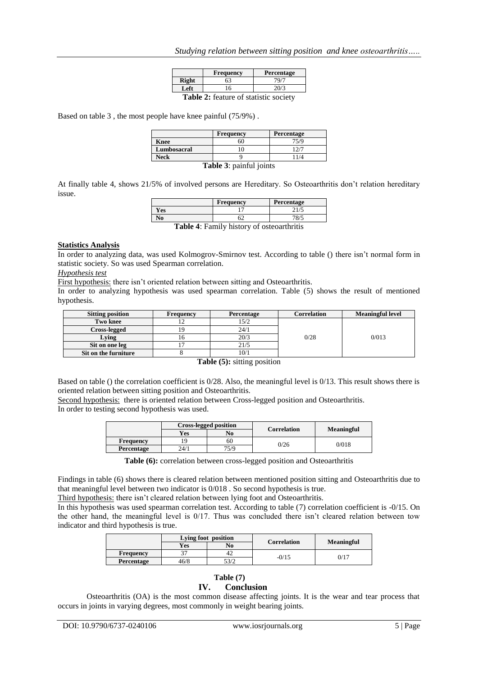|                                       | <b>Frequency</b> | Percentage |  |
|---------------------------------------|------------------|------------|--|
| <b>Right</b>                          | 63               | 79/7       |  |
| Left                                  | 16               | 20/3       |  |
| Toble 2. footure of statistic society |                  |            |  |

**2:** feature of statistic society

Based on table 3 , the most people have knee painful (75/9%) .

|                                                    | Frequency | Percentage |  |
|----------------------------------------------------|-----------|------------|--|
| <b>Knee</b>                                        | 50        | 75/9       |  |
| Lumbosacral                                        |           | $\gamma$   |  |
| Neck                                               |           | 1/4        |  |
| $\mathbf{T}_0$ kla $\mathbf{2}_{t}$ nainful iainta |           |            |  |

**Table 3**: painful joints

At finally table 4, shows 21/5% of involved persons are Hereditary. So Osteoarthritis don"t relation hereditary issue.

|                                                  | Frequency | Percentage |  |
|--------------------------------------------------|-----------|------------|--|
| Yes                                              |           | 21/5       |  |
| No                                               |           | 78/5       |  |
| <b>Table 4:</b> Family history of osteoarthritis |           |            |  |

#### **Statistics Analysis**

In order to analyzing data, was used Kolmogrov-Smirnov test. According to table () there isn"t normal form in statistic society. So was used Spearman correlation.

#### *Hypothesis test*

First hypothesis: there isn't oriented relation between sitting and Osteoarthritis.

In order to analyzing hypothesis was used spearman correlation. Table (5) shows the result of mentioned hypothesis.

| <b>Sitting position</b> | Frequency | Percentage | Correlation | <b>Meaningful level</b> |
|-------------------------|-----------|------------|-------------|-------------------------|
| Two knee                |           | 15/2       |             |                         |
| <b>Cross-legged</b>     |           | 24/1       |             |                         |
| Lying                   |           | 20/3       | 0/28        | 0/013                   |
| Sit on one leg          |           | 21/5       |             |                         |
| Sit on the furniture    |           | 10/1       |             |                         |

**Table (5):** sitting position

Based on table () the correlation coefficient is 0/28. Also, the meaningful level is 0/13. This result shows there is oriented relation between sitting position and Osteoarthritis.

Second hypothesis: there is oriented relation between Cross-legged position and Osteoarthritis. In order to testing second hypothesis was used.

|                  | <b>Cross-legged position</b> |      |                    |                   |
|------------------|------------------------------|------|--------------------|-------------------|
|                  | Yes                          | No   | <b>Correlation</b> | <b>Meaningful</b> |
| <b>Frequency</b> | 9                            | 60   | 0/26               | 0/018             |
| Percentage       | 24/1                         | 75/9 |                    |                   |

Table (6): correlation between cross-legged position and Osteoarthritis

Findings in table (6) shows there is cleared relation between mentioned position sitting and Osteoarthritis due to that meaningful level between two indicator is 0/018 . So second hypothesis is true.

Third hypothesis: there isn't cleared relation between lying foot and Osteoarthritis.

In this hypothesis was used spearman correlation test. According to table (7) correlation coefficient is -0/15. On the other hand, the meaningful level is 0/17. Thus was concluded there isn"t cleared relation between tow indicator and third hypothesis is true.

|            | Lying foot position |      | <b>Correlation</b> |                   |
|------------|---------------------|------|--------------------|-------------------|
|            | Yes                 | No   |                    | <b>Meaningful</b> |
| Frequency  | າາ                  | 42   | $-0/15$            | 0/17              |
| Percentage | 46/8                | 53/2 |                    |                   |

### **Table (7)**

# **IV. Conclusion**

Osteoarthritis (OA) is the most common disease affecting joints. It is the wear and tear process that occurs in joints in varying degrees, most commonly in weight bearing joints.